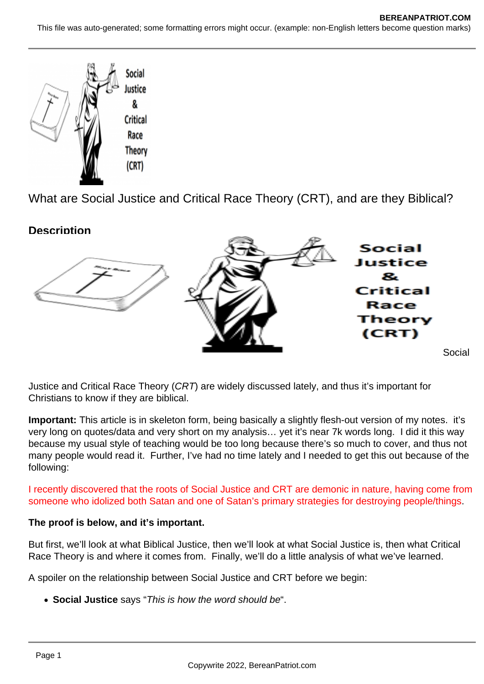

What are Social Justice and Critical Race Theory (CRT), and are they Biblical?

**Description**



Justice and Critical Race Theory (CRT) are widely discussed lately, and thus it's important for Christians to know if they are biblical.

**Important:** This article is in skeleton form, being basically a slightly flesh-out version of my notes. it's very long on quotes/data and very short on my analysis… yet it's near 7k words long. I did it this way because my usual style of teaching would be too long because there's so much to cover, and thus not many people would read it. Further, I've had no time lately and I needed to get this out because of the following:

I recently discovered that the roots of Social Justice and CRT are demonic in nature, having come from someone who idolized both Satan and one of Satan's primary strategies for destroying people/things.

# **The proof is below, and it's important.**

But first, we'll look at what Biblical Justice, then we'll look at what Social Justice is, then what Critical Race Theory is and where it comes from. Finally, we'll do a little analysis of what we've learned.

A spoiler on the relationship between Social Justice and CRT before we begin:

**Social Justice** says "This is how the word should be".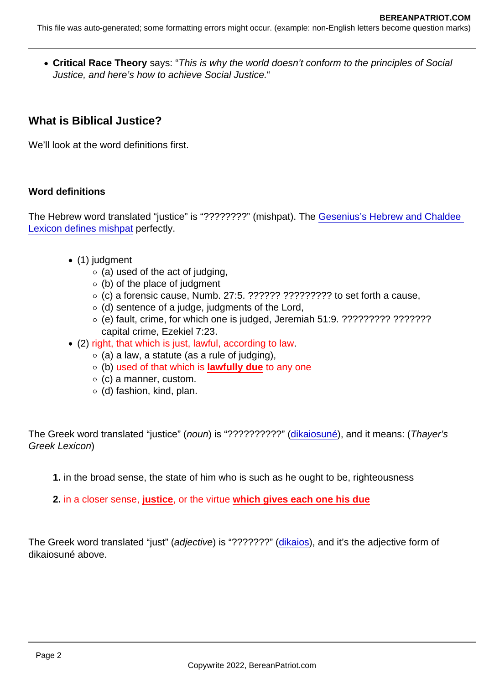Critical Race Theory says: "This is why the world doesn't conform to the principles of Social Justice, and here's how to achieve Social Justice."

What is Biblical Justice?

We'll look at the word definitions first.

## Word definitions

The Hebrew word translated "justice" is "????????" (mishpat). The [Gesenius's Hebrew and Chaldee](https://www.studylight.org/lexicons/eng/hebrew/4941.html)  [Lexicon defines mishpat](https://www.studylight.org/lexicons/eng/hebrew/4941.html) perfectly.

- (1) judgment
	- $\circ$  (a) used of the act of judging,
	- $\circ$  (b) of the place of judgment
	- $\circ$  (c) a forensic cause, Numb. 27:5. ??????? ?????????? to set forth a cause,
	- $\circ$  (d) sentence of a judge, judgments of the Lord,
	- (e) fault, crime, for which one is judged, Jeremiah 51:9. ????????? ??????? capital crime, Ezekiel 7:23.
- (2) right, that which is just, lawful, according to law.
	- $\circ$  (a) a law, a statute (as a rule of judging),
	- $\circ$  (b) used of that which is lawfully due to any one
	- $\circ$  (c) a manner, custom.
	- $\circ$  (d) fashion, kind, plan.

The Greek word translated "justice" (noun) is "??????????" ([dikaiosuné](https://biblehub.com/greek/1343.htm)), and it means: (Thayer's Greek Lexicon)

- 1. in the broad sense, the state of him who is such as he ought to be, righteousness
- 2. in a closer sense, justice , or the virtue which gives each one his due

The Greek word translated "just" (adjective) is "???????" [\(dikaios](https://biblehub.com/greek/1342.htm)), and it's the adjective form of dikaiosuné above.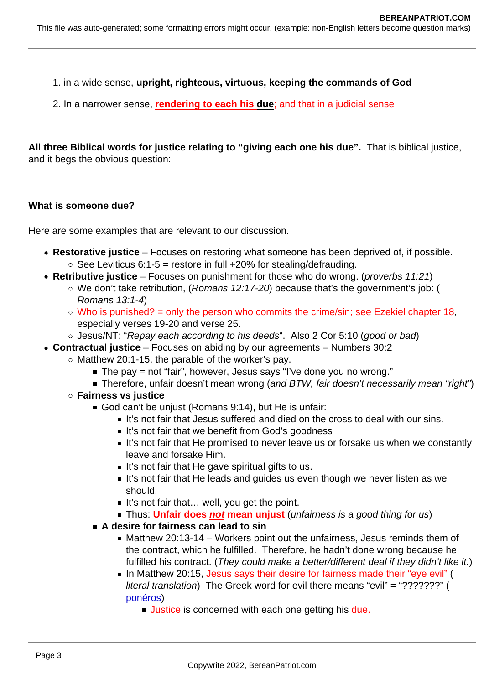1. in a wide sense, upright, righteous, virtuous, keeping the commands of God

2. In a narrower sense, rendering to each his due; and that in a judicial sense

All three Biblical words for justice relating to "giving each one his due". That is biblical justice, and it begs the obvious question:

What is someone due?

Here are some examples that are relevant to our discussion.

- Restorative justice  $-$  Focuses on restoring what someone has been deprived of, if possible.  $\circ$  See Leviticus 6:1-5 = restore in full +20% for stealing/defrauding.
- Retributive justice Focuses on punishment for those who do wrong. (proverbs 11:21)
	- We don't take retribution, (Romans 12:17-20) because that's the government's job: ( Romans 13:1-4)
	- $\circ$  Who is punished? = only the person who commits the crime/sin; see Ezekiel chapter 18, especially verses 19-20 and verse 25.
	- o Jesus/NT: "Repay each according to his deeds". Also 2 Cor 5:10 (good or bad)
- Contractual justice Focuses on abiding by our agreements Numbers 30:2
	- $\circ$  Matthew 20:1-15, the parable of the worker's pay.
		- $\blacksquare$  The pay = not "fair", however, Jesus says "I've done you no wrong."
		- **Therefore, unfair doesn't mean wrong (and BTW, fair doesn't necessarily mean "right")**
	- Fairness vs justice
		- God can't be unjust (Romans 9:14), but He is unfair:
			- It's not fair that Jesus suffered and died on the cross to deal with our sins.
			- It's not fair that we benefit from God's goodness
			- It's not fair that He promised to never leave us or forsake us when we constantly leave and forsake Him.
			- $\blacksquare$  It's not fair that He gave spiritual gifts to us.
			- It's not fair that He leads and guides us even though we never listen as we should.
			- $\blacksquare$  It's not fair that... well, you get the point.
			- **Thus: Unfair does not mean unjust (unfairness is a good thing for us)**
		- A desire for fairness can lead to sin
			- Matthew 20:13-14 Workers point out the unfairness, Jesus reminds them of the contract, which he fulfilled. Therefore, he hadn't done wrong because he fulfilled his contract. (They could make a better/different deal if they didn't like it.)
			- In Matthew 20:15, Jesus says their desire for fairness made their "eye evil" ( literal translation) The Greek word for evil there means "evil" = "???????" ( [ponéros](https://biblehub.com/greek/4190.htm))
				- **Justice** is concerned with each one getting his due.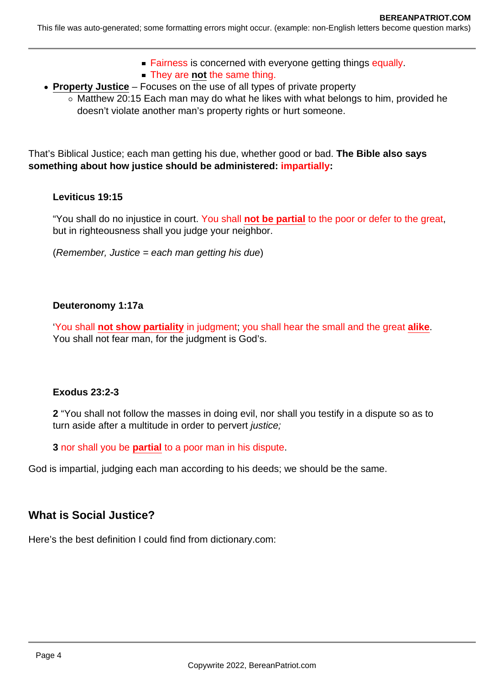- **Fairness is concerned with everyone getting things equally.**
- **They are not the same thing.**
- **Property Justice** Focuses on the use of all types of private property
	- $\circ$  Matthew 20:15 Each man may do what he likes with what belongs to him, provided he doesn't violate another man's property rights or hurt someone.

That's Biblical Justice; each man getting his due, whether good or bad. **The Bible also says something about how justice should be administered: impartially:**

#### **Leviticus 19:15**

"You shall do no injustice in court. You shall **not be partial** to the poor or defer to the great, but in righteousness shall you judge your neighbor.

 $(Remember, Justice = each man getting his due)$ 

#### **Deuteronomy 1:17a**

'You shall **not show partiality** in judgment; you shall hear the small and the great **alike**. You shall not fear man, for the judgment is God's.

## **Exodus 23:2-3**

**2** "You shall not follow the masses in doing evil, nor shall you testify in a dispute so as to turn aside after a multitude in order to pervert *justice*;

**3** nor shall you be **partial** to a poor man in his dispute.

God is impartial, judging each man according to his deeds; we should be the same.

# **What is Social Justice?**

Here's the best definition I could find from dictionary.com: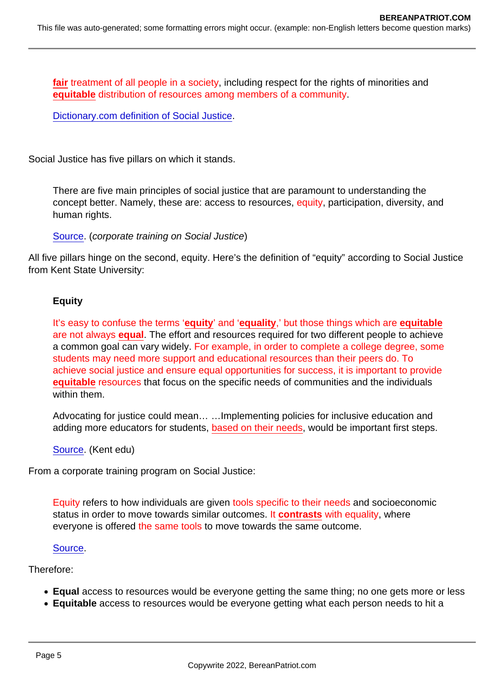fair treatment of all people in a society, including respect for the rights of minorities and equitable distribution of resources among members of a community.

[Dictionary.com definition of Social Justice.](https://www.dictionary.com/browse/social-justice)

Social Justice has five pillars on which it stands.

There are five main principles of social justice that are paramount to understanding the concept better. Namely, these are: access to resources, equity, participation, diversity, and human rights.

[Source](https://corporatefinanceinstitute.com/resources/knowledge/other/social-justice/). (corporate training on Social Justice)

All five pillars hinge on the second, equity. Here's the definition of "equity" according to Social Justice from Kent State University:

#### **Equity**

It's easy to confuse the terms 'equity ' and 'equality ,' but those things which are equitable are not always equal. The effort and resources required for two different people to achieve a common goal can vary widely. For example, in order to complete a college degree, some students may need more support and educational resources than their peers do. To achieve social justice and ensure equal opportunities for success, it is important to provide equitable resources that focus on the specific needs of communities and the individuals within them.

Advocating for justice could mean… …Implementing policies for inclusive education and adding more educators for students, based on their needs, would be important first steps.

[Source](https://onlinedegrees.kent.edu/political-science/master-of-public-administration/community/five-principles-of-social-justice). (Kent edu)

From a corporate training program on Social Justice:

Equity refers to how individuals are given tools specific to their needs and socioeconomic status in order to move towards similar outcomes. It contrasts with equality, where everyone is offered the same tools to move towards the same outcome.

#### [Source](https://corporatefinanceinstitute.com/resources/knowledge/other/social-justice/).

Therefore:

- Equal access to resources would be everyone getting the same thing; no one gets more or less
- Equitable access to resources would be everyone getting what each person needs to hit a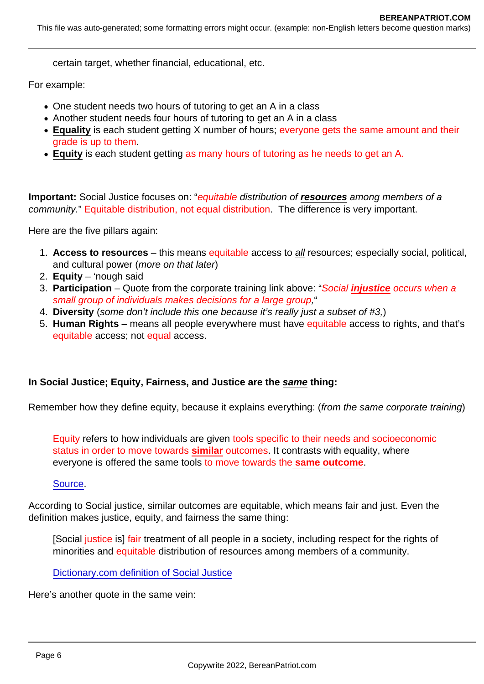certain target, whether financial, educational, etc.

For example:

- One student needs two hours of tutoring to get an A in a class
- Another student needs four hours of tutoring to get an A in a class
- Equality is each student getting X number of hours; everyone gets the same amount and their grade is up to them.
- Equity is each student getting as many hours of tutoring as he needs to get an A.

Important: Social Justice focuses on: "equitable distribution of resources among members of a community." Equitable distribution, not equal distribution. The difference is very important.

Here are the five pillars again:

- 1. Access to resources this means equitable access to all resources; especially social, political, and cultural power (more on that later)
- 2. Equity 'nough said
- 3. Participation Quote from the corporate training link above: "Social injustice occurs when a small group of individuals makes decisions for a large group,"
- 4. Diversity (some don't include this one because it's really just a subset of #3,)
- 5. Human Rights means all people everywhere must have equitable access to rights, and that's equitable access; not equal access.

In Social Justice; Equity, Fairness, and Justice are the same thing:

Remember how they define equity, because it explains everything: (from the same corporate training)

Equity refers to how individuals are given tools specific to their needs and socioeconomic status in order to move towards similar outcomes. It contrasts with equality, where everyone is offered the same tools to move towards the same outcome.

#### [Source](https://corporatefinanceinstitute.com/resources/knowledge/other/social-justice/).

According to Social justice, similar outcomes are equitable, which means fair and just. Even the definition makes justice, equity, and fairness the same thing:

[Social justice is] fair treatment of all people in a society, including respect for the rights of minorities and equitable distribution of resources among members of a community.

[Dictionary.com definition of Social Justice](https://www.dictionary.com/browse/social-justice)

Here's another quote in the same vein: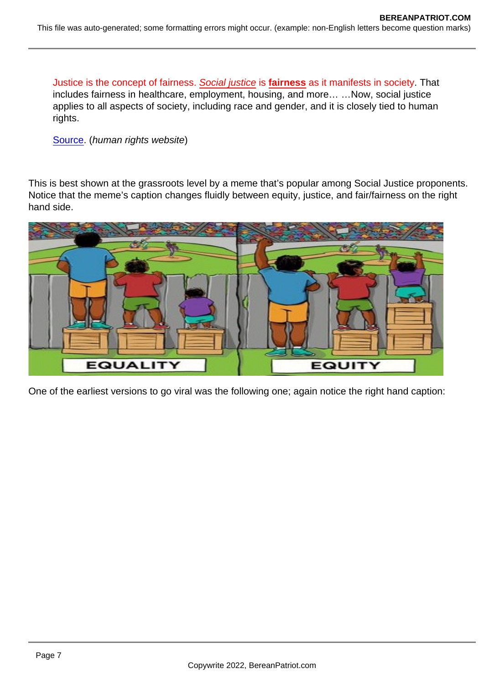Justice is the concept of fairness. Social justice is fairness as it manifests in society. That includes fairness in healthcare, employment, housing, and more… …Now, social justice applies to all aspects of society, including race and gender, and it is closely tied to human rights.

[Source](https://www.humanrightscareers.com/issues/what-does-social-justice-mean/). (human rights website)

This is best shown at the grassroots level by a meme that's popular among Social Justice proponents. Notice that the meme's caption changes fluidly between equity, justice, and fair/fairness on the right hand side.

One of the earliest versions to go viral was the following one; again notice the right hand caption: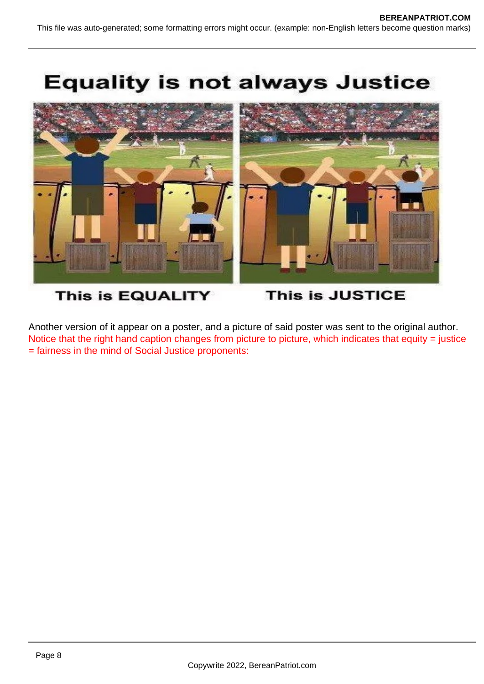

# This is EQUALITY

**This is JUSTICE** 

Another version of it appear on a poster, and a picture of said poster was sent to the original author. Notice that the right hand caption changes from picture to picture, which indicates that equity = justice = fairness in the mind of Social Justice proponents: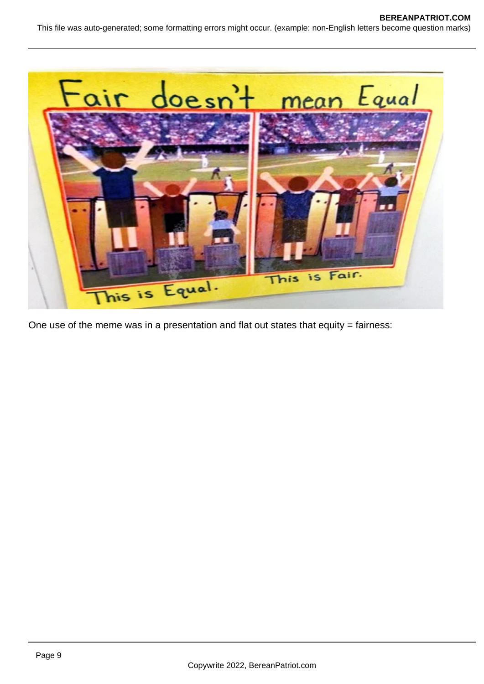



One use of the meme was in a presentation and flat out states that equity  $=$  fairness: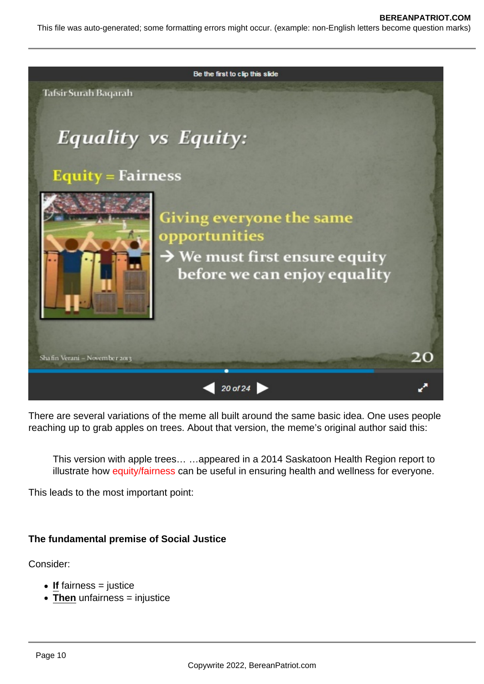

There are several variations of the meme all built around the same basic idea. One uses people reaching up to grab apples on trees. About that version, the meme's original author said this:

This version with apple trees… …appeared in a 2014 Saskatoon Health Region report to illustrate how equity/fairness can be useful in ensuring health and wellness for everyone.

This leads to the most important point:

## **The fundamental premise of Social Justice**

Consider:

- If fairness = justice
- Then unfairness = injustice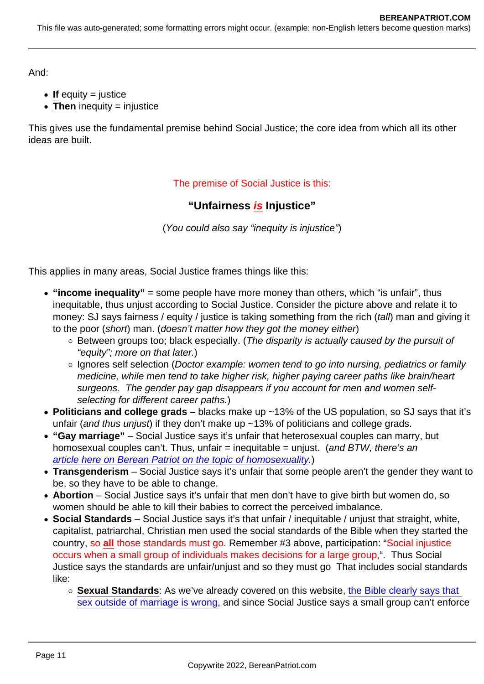And:

- $\bullet$  If equity = justice
- $\bullet$  Then inequity = injustice

This gives use the fundamental premise behind Social Justice; the core idea from which all its other ideas are built.

The premise of Social Justice is this:

"Unfairness is Injustice"

(You could also say "inequity is injustice")

This applies in many areas, Social Justice frames things like this:

- $\bullet$  "income inequality" = some people have more money than others, which "is unfair", thus inequitable, thus unjust according to Social Justice. Consider the picture above and relate it to money: SJ says fairness / equity / justice is taking something from the rich (tall) man and giving it to the poor (short) man. (doesn't matter how they got the money either)
	- Between groups too; black especially. (The disparity is actually caused by the pursuit of "equity"; more on that later.)
	- o Ignores self selection (Doctor example: women tend to go into nursing, pediatrics or family medicine, while men tend to take higher risk, higher paying career paths like brain/heart surgeons. The gender pay gap disappears if you account for men and women selfselecting for different career paths.)
- Politicians and college grads  $-$  blacks make up  $\sim$  13% of the US population, so SJ says that it's unfair (and thus unjust) if they don't make up ~13% of politicians and college grads.
- "Gay marriage" Social Justice says it's unfair that heterosexual couples can marry, but homosexual couples can't. Thus, unfair  $=$  inequitable  $=$  unjust. (and BTW, there's an [article here on Berean Patriot on the topic of homosexuality.](https://www.bereanpatriot.com/the-bible-on-gay-and-lesbian-homosexual-sex/))
- Transgenderism Social Justice says it's unfair that some people aren't the gender they want to be, so they have to be able to change.
- Abortion Social Justice says it's unfair that men don't have to give birth but women do, so women should be able to kill their babies to correct the perceived imbalance.
- Social Standards Social Justice says it's that unfair / inequitable / unjust that straight, white, capitalist, patriarchal, Christian men used the social standards of the Bible when they started the country, so all those standards must go. Remember #3 above, participation: "Social injustice occurs when a small group of individuals makes decisions for a large group,". Thus Social Justice says the standards are unfair/unjust and so they must go That includes social standards like:
	- Sexual Standards : As we've already covered on this website, the Bible clearly says that [sex outside of marriage is wrong,](https://www.bereanpatriot.com/yes-the-bible-clearly-says-sex-outside-of-marriage-is-wrong/) and since Social Justice says a small group can't enforce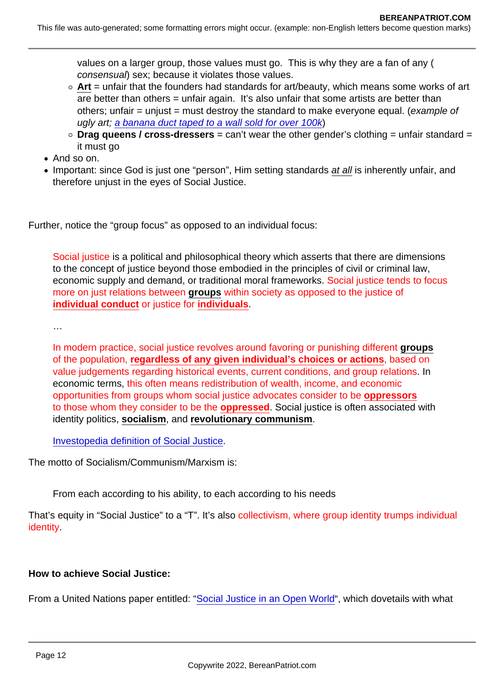values on a larger group, those values must go. This is why they are a fan of any ( consensual) sex; because it violates those values.

- $\circ$  Art = unfair that the founders had standards for art/beauty, which means some works of art are better than others = unfair again. It's also unfair that some artists are better than others; unfair = unjust = must destroy the standard to make everyone equal. (example of ugly art; [a banana duct taped to a wall sold for over 100k](https://www.dailywire.com/news/modern-art-banana-taped-to-wall-sells-for-over-100k))
- $\circ$  Drag queens / cross-dressers = can't wear the other gender's clothing = unfair standard = it must go
- And so on.
- Important: since God is just one "person", Him setting standards at all is inherently unfair, and therefore unjust in the eyes of Social Justice.

Further, notice the "group focus" as opposed to an individual focus:

Social justice is a political and philosophical theory which asserts that there are dimensions to the concept of justice beyond those embodied in the principles of civil or criminal law, economic supply and demand, or traditional moral frameworks. Social justice tends to focus more on just relations between groups within society as opposed to the justice of individual conduct or justice for individuals .

…

In modern practice, social justice revolves around favoring or punishing different groups of the population, regardless of any given individual's choices or actions , based on value judgements regarding historical events, current conditions, and group relations. In economic terms, this often means redistribution of wealth, income, and economic opportunities from groups whom social justice advocates consider to be oppressors to those whom they consider to be the oppressed . Social justice is often associated with identity politics, socialism, and revolutionary communism.

[Investopedia definition of Social Justice](https://www.investopedia.com/terms/s/social-justice.asp).

The motto of Socialism/Communism/Marxism is:

From each according to his ability, to each according to his needs

That's equity in "Social Justice" to a "T". It's also collectivism, where group identity trumps individual identity.

How to achieve Social Justice:

From a United Nations paper entitled: "[Social Justice in an Open World"](https://www.bereanpatriot.com/wp-content/uploads/2021/08/Social-Justice-in-an-Open-World-United-Nations.pdf), which dovetails with what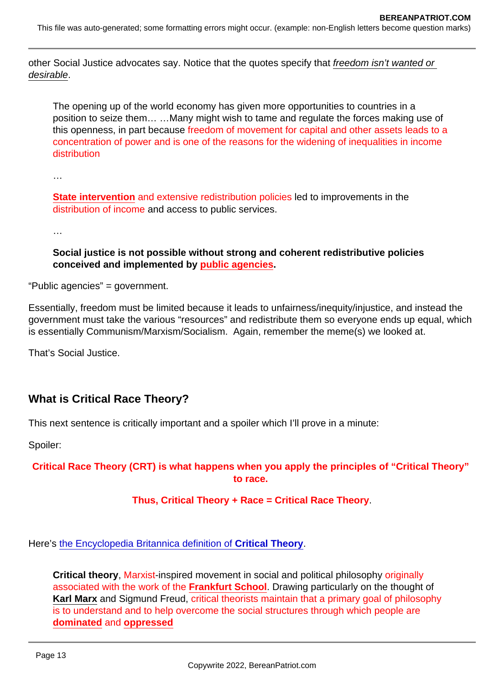other Social Justice advocates say. Notice that the quotes specify that freedom isn't wanted or desirable.

The opening up of the world economy has given more opportunities to countries in a position to seize them… …Many might wish to tame and regulate the forces making use of this openness, in part because freedom of movement for capital and other assets leads to a concentration of power and is one of the reasons for the widening of inequalities in income distribution

…

State intervention and extensive redistribution policies led to improvements in the distribution of income and access to public services.

…

Social justice is not possible without strong and coherent redistributive policies conceived and implemented by public agencies.

"Public agencies" = government.

Essentially, freedom must be limited because it leads to unfairness/inequity/injustice, and instead the government must take the various "resources" and redistribute them so everyone ends up equal, which is essentially Communism/Marxism/Socialism. Again, remember the meme(s) we looked at.

That's Social Justice.

What is Critical Race Theory?

This next sentence is critically important and a spoiler which I'll prove in a minute:

Spoiler:

Critical Race Theory (CRT) is what happens when you apply the principles of "Critical Theory" to race.

Thus, Critical Theory + Race = Critical Race Theory .

Here's [the Encyclopedia Britannica definition of Critical Theory](https://www.britannica.com/topic/critical-theory) .

Critical theory , Marxist-inspired movement in social and political philosophy originally associated with the work of the Frankfurt School . Drawing particularly on the thought of Karl Marx and Sigmund Freud, critical theorists maintain that a primary goal of philosophy is to understand and to help overcome the social structures through which people are dominated and oppressed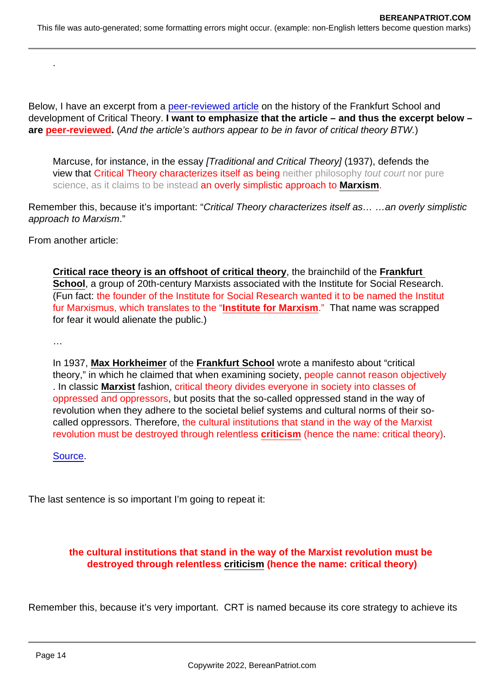Below, I have an excerpt from a [peer-reviewed article](https://iep.utm.edu/frankfur/#H3) on the history of the Frankfurt School and development of Critical Theory. I want to emphasize that the article – and thus the excerpt below – are peer-reviewed . (And the article's authors appear to be in favor of critical theory BTW.)

Marcuse, for instance, in the essay [Traditional and Critical Theory] (1937), defends the view that Critical Theory characterizes itself as being neither philosophy tout court nor pure science, as it claims to be instead an overly simplistic approach to Marxism.

Remember this, because it's important: "Critical Theory characterizes itself as… …an overly simplistic approach to Marxism."

From another article:

.

Critical race theory is an offshoot of critical theory , the brainchild of the Frankfurt School , a group of 20th-century Marxists associated with the Institute for Social Research. (Fun fact: the founder of the Institute for Social Research wanted it to be named the Institut fur Marxismus, which translates to the "Institute for Marxism ." That name was scrapped for fear it would alienate the public.)

…

In 1937, Max Horkheimer of the Frankfurt School wrote a manifesto about "critical theory," in which he claimed that when examining society, people cannot reason objectively . In classic Marxist fashion, critical theory divides everyone in society into classes of oppressed and oppressors, but posits that the so-called oppressed stand in the way of revolution when they adhere to the societal belief systems and cultural norms of their socalled oppressors. Therefore, the cultural institutions that stand in the way of the Marxist revolution must be destroyed through relentless criticism (hence the name: critical theory).

[Source](https://www.newsweek.com/critical-race-theory-repackaged-marxism-opinion-1599557).

The last sentence is so important I'm going to repeat it:

the cultural institutions that stand in the way of the Marxist revolution must be destroyed through relentless criticism (hence the name: critical theory)

Remember this, because it's very important. CRT is named because its core strategy to achieve its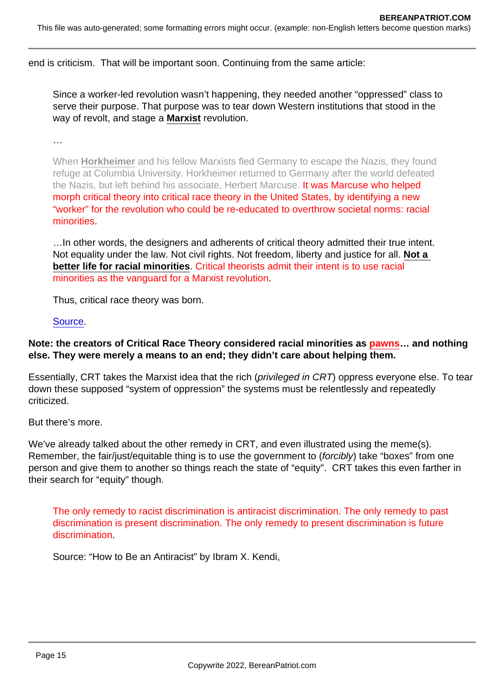end is criticism. That will be important soon. Continuing from the same article:

Since a worker-led revolution wasn't happening, they needed another "oppressed" class to serve their purpose. That purpose was to tear down Western institutions that stood in the way of revolt, and stage a Marxist revolution.

…

When Horkheimer and his fellow Marxists fled Germany to escape the Nazis, they found refuge at Columbia University. Horkheimer returned to Germany after the world defeated the Nazis, but left behind his associate, Herbert Marcuse. It was Marcuse who helped morph critical theory into critical race theory in the United States, by identifying a new "worker" for the revolution who could be re-educated to overthrow societal norms: racial minorities.

…In other words, the designers and adherents of critical theory admitted their true intent. Not equality under the law. Not civil rights. Not freedom, liberty and justice for all. Not a better life for racial minorities . Critical theorists admit their intent is to use racial minorities as the vanguard for a Marxist revolution.

Thus, critical race theory was born.

#### [Source](https://www.newsweek.com/critical-race-theory-repackaged-marxism-opinion-1599557).

Note: the creators of Critical Race Theory considered racial minorities as pawns ... and nothing else. They were merely a means to an end; they didn't care about helping them.

Essentially, CRT takes the Marxist idea that the rich (privileged in CRT) oppress everyone else. To tear down these supposed "system of oppression" the systems must be relentlessly and repeatedly criticized.

But there's more.

We've already talked about the other remedy in CRT, and even illustrated using the meme(s). Remember, the fair/just/equitable thing is to use the government to (forcibly) take "boxes" from one person and give them to another so things reach the state of "equity". CRT takes this even farther in their search for "equity" though.

The only remedy to racist discrimination is antiracist discrimination. The only remedy to past discrimination is present discrimination. The only remedy to present discrimination is future discrimination.

Source: "How to Be an Antiracist" by Ibram X. Kendi,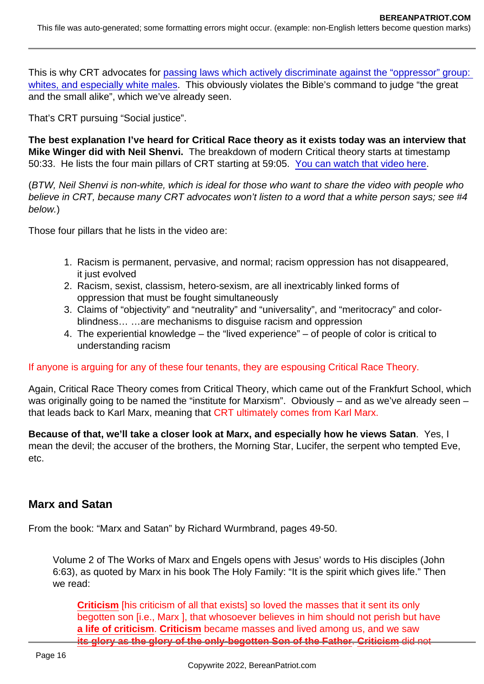This is why CRT advocates for [passing laws which actively discriminate against the "oppressor" group:](https://nypost.com/2021/02/25/bidens-covid-relief-bill-is-chock-full-of-anti-white-reverse-racism/)  [whites, and especially white males](https://nypost.com/2021/02/25/bidens-covid-relief-bill-is-chock-full-of-anti-white-reverse-racism/). This obviously violates the Bible's command to judge "the great" and the small alike", which we've already seen.

That's CRT pursuing "Social justice".

The best explanation I've heard for Critical Race theory as it exists today was an interview that Mike Winger did with Neil Shenvi. The breakdown of modern Critical theory starts at timestamp 50:33. He lists the four main pillars of CRT starting at 59:05. [You can watch that video here.](https://www.youtube.com/watch?v=yHvJx-rBYKo)

(BTW, Neil Shenvi is non-white, which is ideal for those who want to share the video with people who believe in CRT, because many CRT advocates won't listen to a word that a white person says; see #4 below.)

Those four pillars that he lists in the video are:

- 1. Racism is permanent, pervasive, and normal; racism oppression has not disappeared, it just evolved
- 2. Racism, sexist, classism, hetero-sexism, are all inextricably linked forms of oppression that must be fought simultaneously
- 3. Claims of "objectivity" and "neutrality" and "universality", and "meritocracy" and colorblindness… …are mechanisms to disguise racism and oppression
- 4. The experiential knowledge the "lived experience" of people of color is critical to understanding racism

## If anyone is arguing for any of these four tenants, they are espousing Critical Race Theory.

Again, Critical Race Theory comes from Critical Theory, which came out of the Frankfurt School, which was originally going to be named the "institute for Marxism". Obviously – and as we've already seen – that leads back to Karl Marx, meaning that CRT ultimately comes from Karl Marx.

Because of that, we'll take a closer look at Marx, and especially how he views Satan . Yes, I mean the devil; the accuser of the brothers, the Morning Star, Lucifer, the serpent who tempted Eve, etc.

## Marx and Satan

From the book: "Marx and Satan" by Richard Wurmbrand, pages 49-50.

Volume 2 of The Works of Marx and Engels opens with Jesus' words to His disciples (John 6:63), as quoted by Marx in his book The Holy Family: "It is the spirit which gives life." Then we read:

Criticism [his criticism of all that exists] so loved the masses that it sent its only begotten son [i.e., Marx ], that whosoever believes in him should not perish but have a life of criticism . Criticism became masses and lived among us, and we saw its glory as the glory of the only-begotten Son of the Father ........ Criticism did not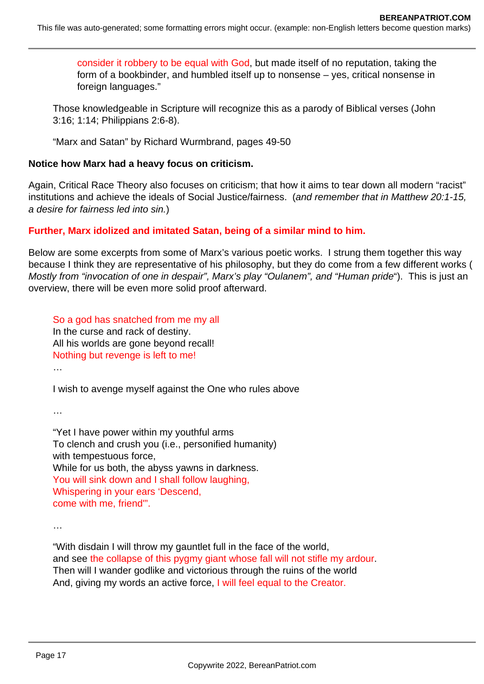consider it robbery to be equal with God, but made itself of no reputation, taking the form of a bookbinder, and humbled itself up to nonsense – yes, critical nonsense in foreign languages."

Those knowledgeable in Scripture will recognize this as a parody of Biblical verses (John 3:16; 1:14; Philippians 2:6-8).

"Marx and Satan" by Richard Wurmbrand, pages 49-50

#### **Notice how Marx had a heavy focus on criticism.**

Again, Critical Race Theory also focuses on criticism; that how it aims to tear down all modern "racist" institutions and achieve the ideals of Social Justice/fairness. (and remember that in Matthew 20:1-15, a desire for fairness led into sin.)

## **Further, Marx idolized and imitated Satan, being of a similar mind to him.**

Below are some excerpts from some of Marx's various poetic works. I strung them together this way because I think they are representative of his philosophy, but they do come from a few different works ( Mostly from "invocation of one in despair", Marx's play "Oulanem", and "Human pride"). This is just an overview, there will be even more solid proof afterward.

So a god has snatched from me my all In the curse and rack of destiny. All his worlds are gone beyond recall! Nothing but revenge is left to me!

I wish to avenge myself against the One who rules above

…

…

"Yet I have power within my youthful arms To clench and crush you (i.e., personified humanity) with tempestuous force, While for us both, the abyss yawns in darkness. You will sink down and I shall follow laughing, Whispering in your ears 'Descend, come with me, friend'".

…

"With disdain I will throw my gauntlet full in the face of the world, and see the collapse of this pygmy giant whose fall will not stifle my ardour. Then will I wander godlike and victorious through the ruins of the world And, giving my words an active force, I will feel equal to the Creator.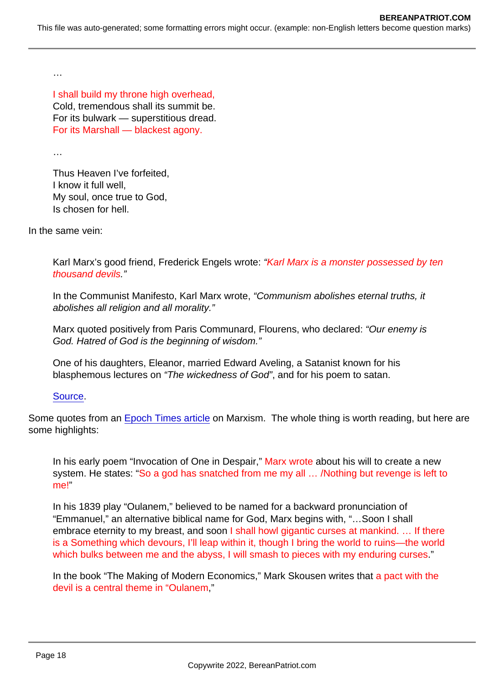…

I shall build my throne high overhead, Cold, tremendous shall its summit be. For its bulwark — superstitious dread. For its Marshall — blackest agony.

…

Thus Heaven I've forfeited, I know it full well, My soul, once true to God, Is chosen for hell.

In the same vein:

Karl Marx's good friend, Frederick Engels wrote: "Karl Marx is a monster possessed by ten thousand devils."

In the Communist Manifesto, Karl Marx wrote, "Communism abolishes eternal truths, it abolishes all religion and all morality."

Marx quoted positively from Paris Communard, Flourens, who declared: "Our enemy is God. Hatred of God is the beginning of wisdom."

One of his daughters, Eleanor, married Edward Aveling, a Satanist known for his blasphemous lectures on "The wickedness of God", and for his poem to satan.

## [Source](http://reformationsa.org/index.php/history/378-the-heart-and-soul-of-karl-marx).

Some quotes from an [Epoch Times article](https://www.theepochtimes.com/communism-the-dead-end-path_2224125.html) on Marxism. The whole thing is worth reading, but here are some highlights:

In his early poem "Invocation of One in Despair," Marx wrote about his will to create a new system. He states: "So a god has snatched from me my all ... /Nothing but revenge is left to me!"

In his 1839 play "Oulanem," believed to be named for a backward pronunciation of "Emmanuel," an alternative biblical name for God, Marx begins with, "…Soon I shall embrace eternity to my breast, and soon I shall howl gigantic curses at mankind. ... If there is a Something which devours, I'll leap within it, though I bring the world to ruins—the world which bulks between me and the abyss, I will smash to pieces with my enduring curses."

In the book "The Making of Modern Economics," Mark Skousen writes that a pact with the devil is a central theme in "Oulanem,"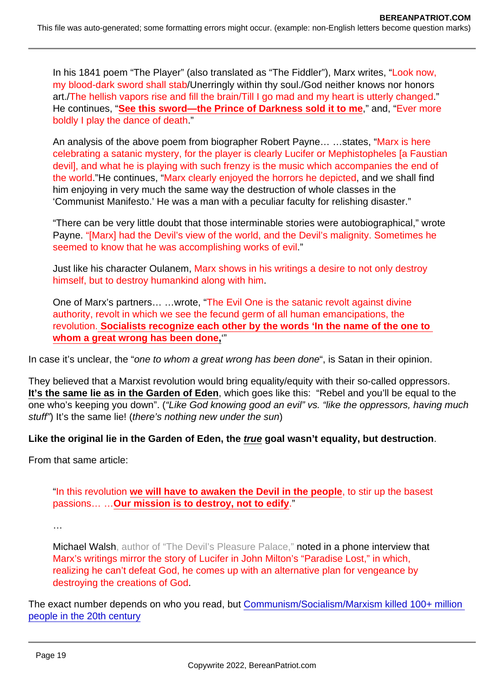In his 1841 poem "The Player" (also translated as "The Fiddler"), Marx writes, "Look now, my blood-dark sword shall stab/Unerringly within thy soul./God neither knows nor honors art./The hellish vapors rise and fill the brain/Till I go mad and my heart is utterly changed." He continues, "See this sword—the Prince of Darkness sold it to me ," and, "Ever more boldly I play the dance of death."

An analysis of the above poem from biographer Robert Payne... ...states, "Marx is here celebrating a satanic mystery, for the player is clearly Lucifer or Mephistopheles [a Faustian devil], and what he is playing with such frenzy is the music which accompanies the end of the world."He continues, "Marx clearly enjoyed the horrors he depicted, and we shall find him enjoying in very much the same way the destruction of whole classes in the 'Communist Manifesto.' He was a man with a peculiar faculty for relishing disaster."

"There can be very little doubt that those interminable stories were autobiographical," wrote Payne. "[Marx] had the Devil's view of the world, and the Devil's malignity. Sometimes he seemed to know that he was accomplishing works of evil."

Just like his character Oulanem, Marx shows in his writings a desire to not only destroy himself, but to destroy humankind along with him.

One of Marx's partners… …wrote, "The Evil One is the satanic revolt against divine authority, revolt in which we see the fecund germ of all human emancipations, the revolution. Socialists recognize each other by the words 'In the name of the one to whom a great wrong has been done , "

In case it's unclear, the "one to whom a great wrong has been done", is Satan in their opinion.

They believed that a Marxist revolution would bring equality/equity with their so-called oppressors. It's the same lie as in the Garden of Eden , which goes like this: "Rebel and you'll be equal to the one who's keeping you down". ("Like God knowing good an evil" vs. "like the oppressors, having much stuff") It's the same lie! (there's nothing new under the sun)

Like the original lie in the Garden of Eden, the true goal wasn't equality, but destruction

From that same article:

"In this revolution we will have to awaken the Devil in the people , to stir up the basest passions... ... Our mission is to destroy, not to edify

…

Michael Walsh, author of "The Devil's Pleasure Palace," noted in a phone interview that Marx's writings mirror the story of Lucifer in John Milton's "Paradise Lost," in which, realizing he can't defeat God, he comes up with an alternative plan for vengeance by destroying the creations of God.

The exact number depends on who you read, but [Communism/Socialism/Marxism killed 100+ million](https://www.wsj.com/articles/100-years-of-communismand-100-million-dead-1510011810)  [people in the 20th century](https://www.wsj.com/articles/100-years-of-communismand-100-million-dead-1510011810)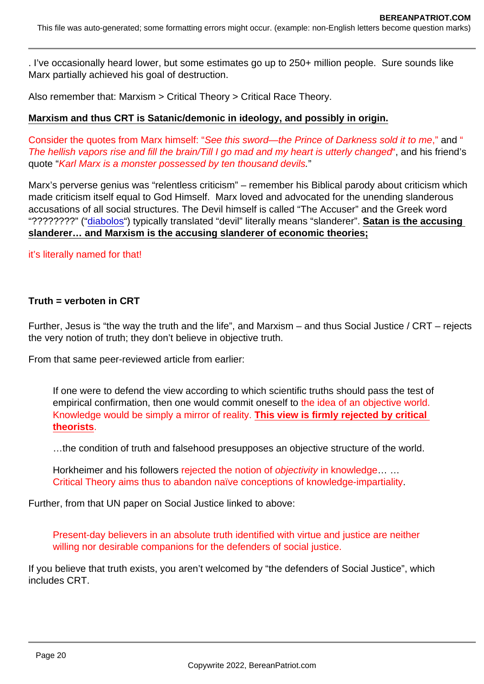. I've occasionally heard lower, but some estimates go up to 250+ million people. Sure sounds like Marx partially achieved his goal of destruction.

Also remember that: Marxism > Critical Theory > Critical Race Theory.

Marxism and thus CRT is Satanic/demonic in ideology, and possibly in origin.

Consider the quotes from Marx himself: "See this sword—the Prince of Darkness sold it to me," and " The hellish vapors rise and fill the brain/Till I go mad and my heart is utterly changed", and his friend's quote "Karl Marx is a monster possessed by ten thousand devils."

Marx's perverse genius was "relentless criticism" – remember his Biblical parody about criticism which made criticism itself equal to God Himself. Marx loved and advocated for the unending slanderous accusations of all social structures. The Devil himself is called "The Accuser" and the Greek word "?????????" ("[diabolos](https://biblehub.com/greek/1228.htm)") typically translated "devil" literally means "slanderer". Satan is the accusing slanderer… and Marxism is the accusing slanderer of economic theories;

it's literally named for that!

 $Truth = verhoten$  in CRT

Further, Jesus is "the way the truth and the life", and Marxism – and thus Social Justice / CRT – rejects the very notion of truth; they don't believe in objective truth.

From that same peer-reviewed article from earlier:

If one were to defend the view according to which scientific truths should pass the test of empirical confirmation, then one would commit oneself to the idea of an objective world. Knowledge would be simply a mirror of reality. This view is firmly rejected by critical theorists .

…the condition of truth and falsehood presupposes an objective structure of the world.

Horkheimer and his followers rejected the notion of objectivity in knowledge..... Critical Theory aims thus to abandon naïve conceptions of knowledge-impartiality.

Further, from that UN paper on Social Justice linked to above:

Present-day believers in an absolute truth identified with virtue and justice are neither willing nor desirable companions for the defenders of social justice.

If you believe that truth exists, you aren't welcomed by "the defenders of Social Justice", which includes CRT.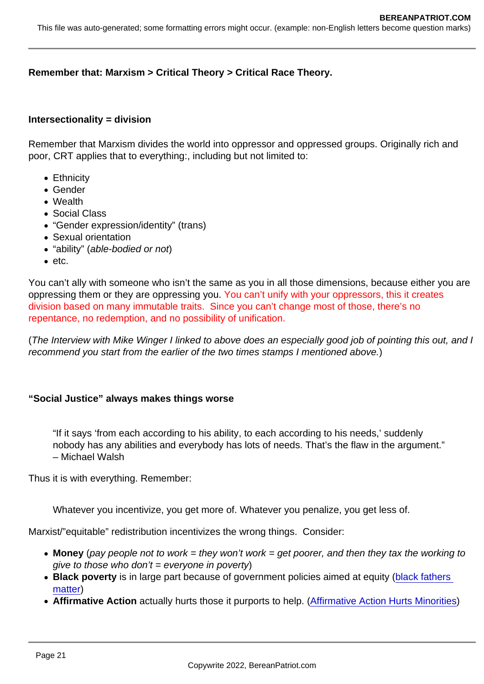Remember that: Marxism > Critical Theory > Critical Race Theory.

 $Intersectionality = division$ 

Remember that Marxism divides the world into oppressor and oppressed groups. Originally rich and poor, CRT applies that to everything:, including but not limited to:

- Ethnicity
- Gender
- Wealth
- Social Class
- "Gender expression/identity" (trans)
- Sexual orientation
- "ability" (able-bodied or not)
- $e$  etc.

You can't ally with someone who isn't the same as you in all those dimensions, because either you are oppressing them or they are oppressing you. You can't unify with your oppressors, this it creates division based on many immutable traits. Since you can't change most of those, there's no repentance, no redemption, and no possibility of unification.

(The Interview with Mike Winger I linked to above does an especially good job of pointing this out, and I recommend you start from the earlier of the two times stamps I mentioned above.)

"Social Justice" always makes things worse

"If it says 'from each according to his ability, to each according to his needs,' suddenly nobody has any abilities and everybody has lots of needs. That's the flaw in the argument." – Michael Walsh

Thus it is with everything. Remember:

Whatever you incentivize, you get more of. Whatever you penalize, you get less of.

Marxist/"equitable" redistribution incentivizes the wrong things. Consider:

- Money (pay people not to work = they won't work = get poorer, and then they tax the working to  $aive$  to those who don't = everyone in poverty)
- Black poverty is in large part because of government policies aimed at equity (black fathers [matter](https://www.prageru.com/video/black-fathers-matter))
- Affirmative Action actually hurts those it purports to help. ([Affirmative Action Hurts Minorities\)](https://www.youtube.com/watch?v=SGLAo0_uu3Y)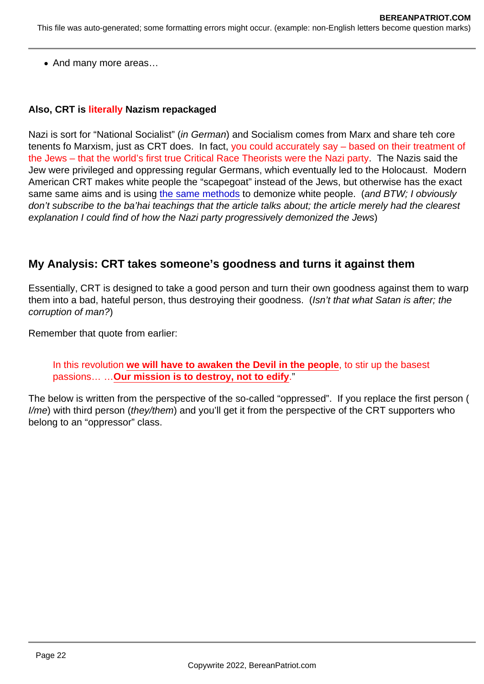• And many more areas...

Also, CRT is literally Nazism repackaged

Nazi is sort for "National Socialist" (in German) and Socialism comes from Marx and share teh core tenents fo Marxism, just as CRT does. In fact, you could accurately say – based on their treatment of the Jews – that the world's first true Critical Race Theorists were the Nazi party. The Nazis said the Jew were privileged and oppressing regular Germans, which eventually led to the Holocaust. Modern American CRT makes white people the "scapegoat" instead of the Jews, but otherwise has the exact same same aims and is using [the same methods](https://bahaiteachings.org/hitlers-step-process-dehumanizing-jews/) to demonize white people. (and BTW; I obviously don't subscribe to the ba'hai teachings that the article talks about; the article merely had the clearest explanation I could find of how the Nazi party progressively demonized the Jews)

# My Analysis: CRT takes someone's goodness and turns it against them

Essentially, CRT is designed to take a good person and turn their own goodness against them to warp them into a bad, hateful person, thus destroying their goodness. (Isn't that what Satan is after; the corruption of man?)

Remember that quote from earlier:

In this revolution we will have to awaken the Devil in the people , to stir up the basest passions... ... Our mission is to destroy, not to edify ."

The below is written from the perspective of the so-called "oppressed". If you replace the first person ( I/me) with third person (they/them) and you'll get it from the perspective of the CRT supporters who belong to an "oppressor" class.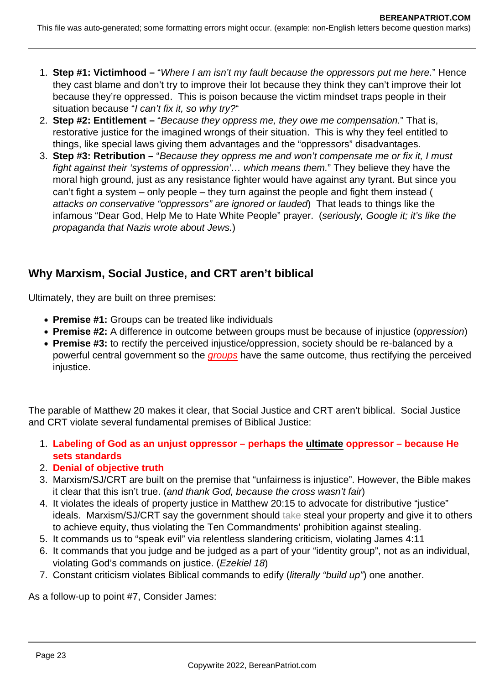- 1. **Step #1: Victimhood –** "Where I am isn't my fault because the oppressors put me here." Hence they cast blame and don't try to improve their lot because they think they can't improve their lot because they're oppressed. This is poison because the victim mindset traps people in their situation because "I can't fix it, so why try?"
- 2. **Step #2: Entitlement –** "Because they oppress me, they owe me compensation." That is, restorative justice for the imagined wrongs of their situation. This is why they feel entitled to things, like special laws giving them advantages and the "oppressors" disadvantages.
- 3. **Step #3: Retribution –** "Because they oppress me and won't compensate me or fix it, I must fight against their 'systems of oppression'… which means them." They believe they have the moral high ground, just as any resistance fighter would have against any tyrant. But since you can't fight a system – only people – they turn against the people and fight them instead ( attacks on conservative "oppressors" are ignored or lauded) That leads to things like the infamous "Dear God, Help Me to Hate White People" prayer. (seriously, Google it; it's like the propaganda that Nazis wrote about Jews.)

# **Why Marxism, Social Justice, and CRT aren't biblical**

Ultimately, they are built on three premises:

- **Premise #1:** Groups can be treated like individuals
- **Premise #2:** A difference in outcome between groups must be because of injustice (oppression)
- **Premise #3:** to rectify the perceived injustice/oppression, society should be re-balanced by a powerful central government so the *groups* have the same outcome, thus rectifying the perceived injustice.

The parable of Matthew 20 makes it clear, that Social Justice and CRT aren't biblical. Social Justice and CRT violate several fundamental premises of Biblical Justice:

- 1. **Labeling of God as an unjust oppressor perhaps the ultimate oppressor because He sets standards**
- 2. **Denial of objective truth**
- 3. Marxism/SJ/CRT are built on the premise that "unfairness is injustice". However, the Bible makes it clear that this isn't true. (and thank God, because the cross wasn't fair)
- 4. It violates the ideals of property justice in Matthew 20:15 to advocate for distributive "justice" ideals. Marxism/SJ/CRT say the government should take steal your property and give it to others to achieve equity, thus violating the Ten Commandments' prohibition against stealing.
- 5. It commands us to "speak evil" via relentless slandering criticism, violating James 4:11
- 6. It commands that you judge and be judged as a part of your "identity group", not as an individual, violating God's commands on justice. (Ezekiel 18)
- 7. Constant criticism violates Biblical commands to edify (literally "build up") one another.

As a follow-up to point #7, Consider James: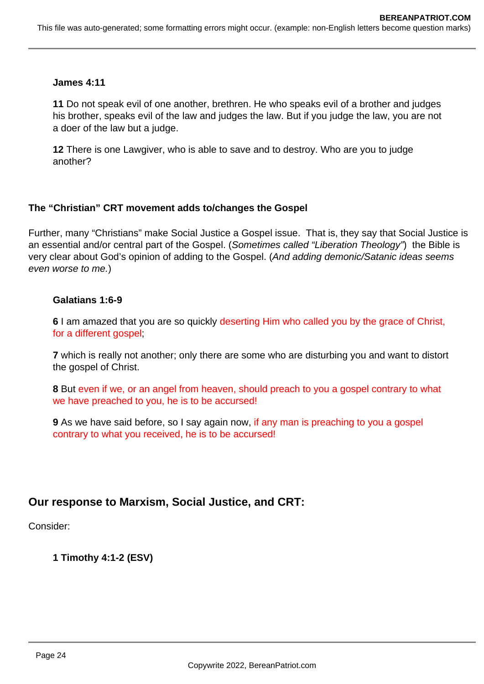#### **James 4:11**

**11** Do not speak evil of one another, brethren. He who speaks evil of a brother and judges his brother, speaks evil of the law and judges the law. But if you judge the law, you are not a doer of the law but a judge.

**12** There is one Lawgiver, who is able to save and to destroy. Who are you to judge another?

#### **The "Christian" CRT movement adds to/changes the Gospel**

Further, many "Christians" make Social Justice a Gospel issue. That is, they say that Social Justice is an essential and/or central part of the Gospel. (Sometimes called "Liberation Theology") the Bible is very clear about God's opinion of adding to the Gospel. (And adding demonic/Satanic ideas seems even worse to me.)

#### **Galatians 1:6-9**

**6** I am amazed that you are so quickly deserting Him who called you by the grace of Christ, for a different gospel;

**7** which is really not another; only there are some who are disturbing you and want to distort the gospel of Christ.

**8** But even if we, or an angel from heaven, should preach to you a gospel contrary to what we have preached to you, he is to be accursed!

**9** As we have said before, so I say again now, if any man is preaching to you a gospel contrary to what you received, he is to be accursed!

# **Our response to Marxism, Social Justice, and CRT:**

Consider:

**1 Timothy 4:1-2 (ESV)**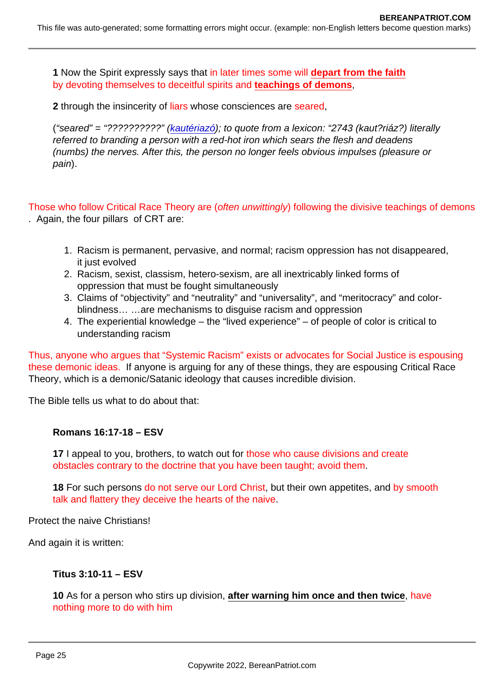1 Now the Spirit expressly says that in later times some will depart from the faith by devoting themselves to deceitful spirits and teachings of demons ,

2 through the insincerity of liars whose consciences are seared,

("seared" = "??????????" [\(kautériazó\)](https://biblehub.com/greek/2743.htm); to quote from a lexicon: "2743 (kaut?riáz?) literally referred to branding a person with a red-hot iron which sears the flesh and deadens (numbs) the nerves. After this, the person no longer feels obvious impulses (pleasure or pain).

Those who follow Critical Race Theory are (often unwittingly) following the divisive teachings of demons . Again, the four pillars of CRT are:

- 1. Racism is permanent, pervasive, and normal; racism oppression has not disappeared, it just evolved
- 2. Racism, sexist, classism, hetero-sexism, are all inextricably linked forms of oppression that must be fought simultaneously
- 3. Claims of "objectivity" and "neutrality" and "universality", and "meritocracy" and colorblindness… …are mechanisms to disguise racism and oppression
- 4. The experiential knowledge the "lived experience" of people of color is critical to understanding racism

Thus, anyone who argues that "Systemic Racism" exists or advocates for Social Justice is espousing these demonic ideas. If anyone is arguing for any of these things, they are espousing Critical Race Theory, which is a demonic/Satanic ideology that causes incredible division.

The Bible tells us what to do about that:

Romans 16:17-18 – ESV

17 I appeal to you, brothers, to watch out for those who cause divisions and create obstacles contrary to the doctrine that you have been taught; avoid them.

18 For such persons do not serve our Lord Christ, but their own appetites, and by smooth talk and flattery they deceive the hearts of the naive.

Protect the naive Christians!

And again it is written:

Titus 3:10-11 – ESV

10 As for a person who stirs up division, after warning him once and then twice , have nothing more to do with him